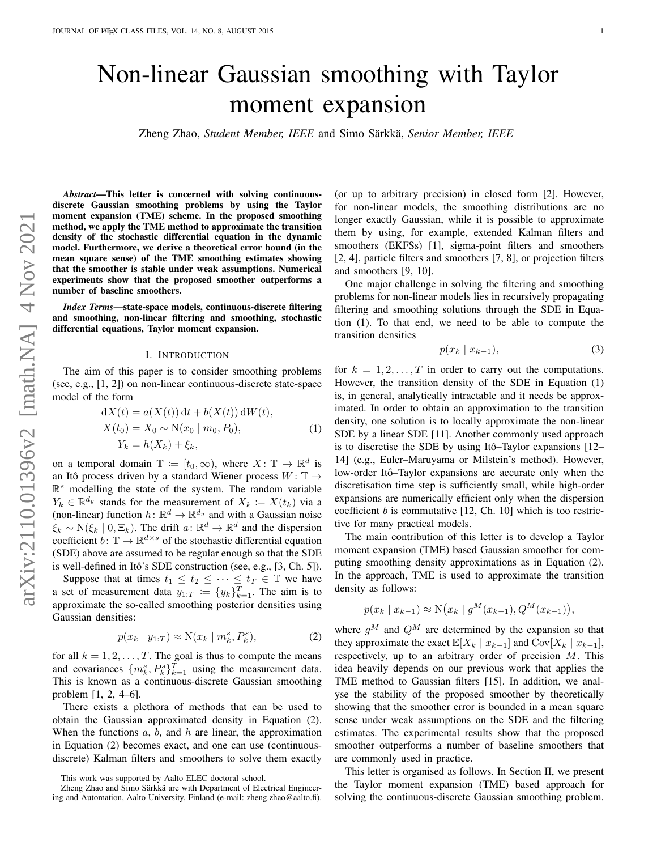# Non-linear Gaussian smoothing with Taylor moment expansion

Zheng Zhao, *Student Member, IEEE* and Simo Särkkä, *Senior Member, IEEE* 

*Abstract*—This letter is concerned with solving continuousdiscrete Gaussian smoothing problems by using the Taylor moment expansion (TME) scheme. In the proposed smoothing method, we apply the TME method to approximate the transition density of the stochastic differential equation in the dynamic model. Furthermore, we derive a theoretical error bound (in the mean square sense) of the TME smoothing estimates showing that the smoother is stable under weak assumptions. Numerical experiments show that the proposed smoother outperforms a number of baseline smoothers.

*Index Terms*—state-space models, continuous-discrete filtering and smoothing, non-linear filtering and smoothing, stochastic differential equations, Taylor moment expansion.

#### I. INTRODUCTION

<span id="page-0-2"></span>The aim of this paper is to consider smoothing problems (see, e.g., [\[1,](#page-4-0) [2\]](#page-4-1)) on non-linear continuous-discrete state-space model of the form

$$
dX(t) = a(X(t)) dt + b(X(t)) dW(t),
$$
  
\n
$$
X(t_0) = X_0 \sim N(x_0 | m_0, P_0),
$$
  
\n
$$
Y_k = h(X_k) + \xi_k,
$$
\n(1)

<span id="page-0-1"></span>on a temporal domain  $\mathbb{T} := [t_0, \infty)$ , where  $X \colon \mathbb{T} \to \mathbb{R}^d$  is an Itô process driven by a standard Wiener process  $W: \mathbb{T} \to$  $\mathbb{R}^s$  modelling the state of the system. The random variable  $Y_k \in \mathbb{R}^{d_y}$  stands for the measurement of  $X_k := X(t_k)$  via a (non-linear) function  $h: \mathbb{R}^d \to \mathbb{R}^{d_y}$  and with a Gaussian noise  $\xi_k \sim \mathcal{N}(\xi_k \mid 0, \Xi_k)$ . The drift  $a \colon \mathbb{R}^d \to \mathbb{R}^d$  and the dispersion coefficient  $b: \mathbb{T} \to \mathbb{R}^{d \times s}$  of the stochastic differential equation (SDE) above are assumed to be regular enough so that the SDE is well-defined in Itô's SDE construction (see, e.g.,  $[3, Ch. 5]$  $[3, Ch. 5]$ ).

Suppose that at times  $t_1 \leq t_2 \leq \cdots \leq t_T \in \mathbb{T}$  we have a set of measurement data  $y_{1:T} := \{y_k\}_{k=1}^T$ . The aim is to approximate the so-called smoothing posterior densities using Gaussian densities:

<span id="page-0-0"></span>
$$
p(x_k | y_{1:T}) \approx \mathcal{N}(x_k | m_k^s, P_k^s), \tag{2}
$$

for all  $k = 1, 2, \dots, T$ . The goal is thus to compute the means and covariances  $\{m_k^s, P_k^s\}_{k=1}^T$  using the measurement data. This is known as a continuous-discrete Gaussian smoothing problem [\[1,](#page-4-0) [2,](#page-4-1) [4–](#page-4-3)[6\]](#page-4-4).

There exists a plethora of methods that can be used to obtain the Gaussian approximated density in Equation [\(2\)](#page-0-0). When the functions  $a, b$ , and  $h$  are linear, the approximation in Equation [\(2\)](#page-0-0) becomes exact, and one can use (continuousdiscrete) Kalman filters and smoothers to solve them exactly (or up to arbitrary precision) in closed form [\[2\]](#page-4-1). However, for non-linear models, the smoothing distributions are no longer exactly Gaussian, while it is possible to approximate them by using, for example, extended Kalman filters and smoothers (EKFSs) [\[1\]](#page-4-0), sigma-point filters and smoothers [\[2,](#page-4-1) [4\]](#page-4-3), particle filters and smoothers [\[7,](#page-4-5) [8\]](#page-4-6), or projection filters and smoothers [\[9,](#page-4-7) [10\]](#page-4-8).

One major challenge in solving the filtering and smoothing problems for non-linear models lies in recursively propagating filtering and smoothing solutions through the SDE in Equation [\(1\)](#page-0-1). To that end, we need to be able to compute the transition densities

$$
p(x_k \mid x_{k-1}), \tag{3}
$$

for  $k = 1, 2, \dots, T$  in order to carry out the computations. However, the transition density of the SDE in Equation [\(1\)](#page-0-1) is, in general, analytically intractable and it needs be approximated. In order to obtain an approximation to the transition density, one solution is to locally approximate the non-linear SDE by a linear SDE [\[11\]](#page-4-9). Another commonly used approach is to discretise the SDE by using Itô–Taylor expansions  $[12-$ [14\]](#page-4-11) (e.g., Euler–Maruyama or Milstein's method). However, low-order Itô–Taylor expansions are accurate only when the discretisation time step is sufficiently small, while high-order expansions are numerically efficient only when the dispersion coefficient  $b$  is commutative  $[12, Ch. 10]$  $[12, Ch. 10]$  which is too restrictive for many practical models.

The main contribution of this letter is to develop a Taylor moment expansion (TME) based Gaussian smoother for computing smoothing density approximations as in Equation [\(2\)](#page-0-0). In the approach, TME is used to approximate the transition density as follows:

$$
p(x_k | x_{k-1}) \approx \mathcal{N}(x_k | g^M(x_{k-1}), Q^M(x_{k-1})),
$$

where  $g^M$  and  $Q^M$  are determined by the expansion so that they approximate the exact  $\mathbb{E}[X_k | x_{k-1}]$  and  $Cov[X_k | x_{k-1}]$ , respectively, up to an arbitrary order of precision M. This idea heavily depends on our previous work that applies the TME method to Gaussian filters [\[15\]](#page-4-12). In addition, we analyse the stability of the proposed smoother by theoretically showing that the smoother error is bounded in a mean square sense under weak assumptions on the SDE and the filtering estimates. The experimental results show that the proposed smoother outperforms a number of baseline smoothers that are commonly used in practice.

This letter is organised as follows. In Section [II,](#page-1-0) we present the Taylor moment expansion (TME) based approach for solving the continuous-discrete Gaussian smoothing problem.

This work was supported by Aalto ELEC doctoral school.

Zheng Zhao and Simo Särkkä are with Department of Electrical Engineering and Automation, Aalto University, Finland (e-mail: zheng.zhao@aalto.fi).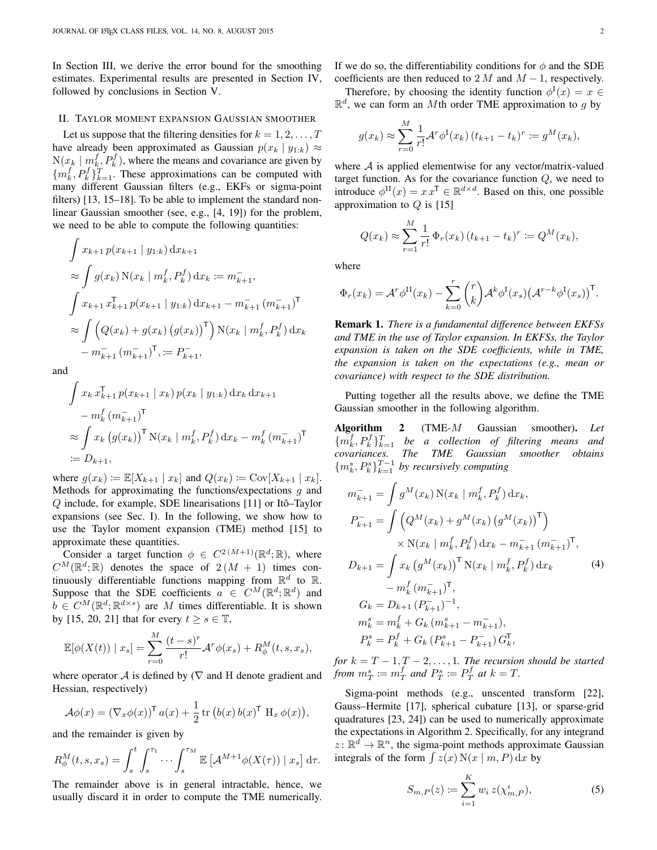In Section [III,](#page-2-0) we derive the error bound for the smoothing estimates. Experimental results are presented in Section [IV,](#page-3-0) followed by conclusions in Section [V.](#page-3-1)

#### <span id="page-1-0"></span>II. TAYLOR MOMENT EXPANSION GAUSSIAN SMOOTHER

Let us suppose that the filtering densities for  $k = 1, 2, \ldots, T$ have already been approximated as Gaussian  $p(x_k | y_{1:k}) \approx$  $N(x_k | m_{k,n}^f P_k^f)$ , where the means and covariance are given by  ${m_k^f, P_k^f}_{k=1}^T$ . These approximations can be computed with many different Gaussian filters (e.g., EKFs or sigma-point filters) [\[13,](#page-4-13) [15](#page-4-12)[–18\]](#page-4-14). To be able to implement the standard nonlinear Gaussian smoother (see, e.g., [\[4,](#page-4-3) [19\]](#page-4-15)) for the problem, we need to be able to compute the following quantities:

<span id="page-1-3"></span>
$$
\int x_{k+1} p(x_{k+1} | y_{1:k}) dx_{k+1}
$$
\n
$$
\approx \int g(x_k) N(x_k | m_k^f, P_k^f) dx_k := m_{k+1}^{-},
$$
\n
$$
\int x_{k+1} x_{k+1}^{\mathsf{T}} p(x_{k+1} | y_{1:k}) dx_{k+1} - m_{k+1}^{\mathsf{T}} (m_{k+1}^{\mathsf{T}})^{\mathsf{T}}
$$
\n
$$
\approx \int \left( Q(x_k) + g(x_k) (g(x_k))^{\mathsf{T}} \right) N(x_k | m_k^f, P_k^f) dx_k
$$
\n
$$
- m_{k+1}^{\mathsf{T}} (m_{k+1}^{\mathsf{T}})^{\mathsf{T}} := P_{k+1}^{-},
$$

and

$$
\int x_k x_{k+1}^{\mathsf{T}} p(x_{k+1} | x_k) p(x_k | y_{1:k}) dx_k dx_{k+1} \n- m_k^f (m_{k+1}^{\mathsf{T}})^{\mathsf{T}} \n\approx \int x_k (g(x_k))^{\mathsf{T}} N(x_k | m_k^f, P_k^f) dx_k - m_k^f (m_{k+1}^{\mathsf{T}})^{\mathsf{T}} \n:= D_{k+1},
$$

where  $g(x_k) := \mathbb{E}[X_{k+1} | x_k]$  and  $Q(x_k) := \text{Cov}[X_{k+1} | x_k].$ Methods for approximating the functions/expectations  $g$  and  $Q$  include, for example, SDE linearisations [\[11\]](#page-4-9) or Itô–Taylor expansions (see Sec. [I\)](#page-0-2). In the following, we show how to use the Taylor moment expansion (TME) method [\[15\]](#page-4-12) to approximate these quantities.

Consider a target function  $\phi \in C^{2(M+1)}(\mathbb{R}^d;\mathbb{R})$ , where  $C^M(\mathbb{R}^d;\mathbb{R})$  denotes the space of  $2(M + 1)$  times continuously differentiable functions mapping from  $\mathbb{R}^d$  to  $\mathbb{R}$ . Suppose that the SDE coefficients  $a \in C^M(\mathbb{R}^d; \mathbb{R}^d)$  and  $b \in C^M(\mathbb{R}^d; \mathbb{R}^{d \times s})$  are M times differentiable. It is shown by [\[15,](#page-4-12) [20,](#page-4-16) [21\]](#page-4-17) that for every  $t \ge s \in \mathbb{T}$ ,

$$
\mathbb{E}[\phi(X(t)) \mid x_s] = \sum_{r=0}^{M} \frac{(t-s)^r}{r!} \mathcal{A}^r \phi(x_s) + R_{\phi}^M(t, s, x_s),
$$

where operator  $\mathcal A$  is defined by ( $\nabla$  and H denote gradient and Hessian, respectively)

$$
\mathcal{A}\phi(x) = (\nabla_x \phi(x))^\mathsf{T} a(x) + \frac{1}{2} \operatorname{tr} (b(x) b(x)^\mathsf{T} \mathsf{H}_x \phi(x)),
$$

and the remainder is given by

$$
R_{\phi}^{M}(t,s,x_s) = \int_{s}^{t} \int_{s}^{\tau_1} \cdots \int_{s}^{\tau_M} \mathbb{E}\left[\mathcal{A}^{M+1} \phi(X(\tau)) \mid x_s\right] d\tau.
$$

The remainder above is in general intractable, hence, we usually discard it in order to compute the TME numerically. If we do so, the differentiability conditions for  $\phi$  and the SDE coefficients are then reduced to 2 M and  $M - 1$ , respectively.

Therefore, by choosing the identity function  $\phi^{\text{I}}(x) = x \in$  $\mathbb{R}^d$ , we can form an Mth order TME approximation to g by

$$
g(x_k) \approx \sum_{r=0}^{M} \frac{1}{r!} \mathcal{A}^r \phi^{\mathrm{I}}(x_k) (t_{k+1} - t_k)^r := g^M(x_k),
$$

where  $A$  is applied elementwise for any vector/matrix-valued target function. As for the covariance function  $Q$ , we need to introduce  $\phi^{\text{II}}(x) = x x^{\text{T}} \in \mathbb{R}^{d \times d}$ . Based on this, one possible approximation to  $Q$  is [\[15\]](#page-4-12)

$$
Q(x_k) \approx \sum_{r=1}^{M} \frac{1}{r!} \Phi_r(x_k) (t_{k+1} - t_k)^r := Q^M(x_k),
$$

where

$$
\Phi_r(x_k) = \mathcal{A}^r \phi^{\mathrm{II}}(x_k) - \sum_{k=0}^r \binom{r}{k} \mathcal{A}^k \phi^{\mathrm{I}}(x_s) \big(\mathcal{A}^{r-k} \phi^{\mathrm{I}}(x_s)\big)^{\mathrm{T}}.
$$

Remark 1. *There is a fundamental difference between EKFSs and TME in the use of Taylor expansion. In EKFSs, the Taylor expansion is taken on the SDE coefficients, while in TME, the expansion is taken on the expectations (e.g., mean or covariance) with respect to the SDE distribution.*

Putting together all the results above, we define the TME Gaussian smoother in the following algorithm.

<span id="page-1-1"></span>Algorithm 2 (TME-M Gaussian smoother). *Let*  $\{m_k^f, P_k^f\}_{k=1}^T$  *be a collection of filtering means and covariances. The TME Gaussian smoother obtains*  ${m_k^s, P_k^s}_{k=1}^{T-1}$  by recursively computing

$$
m_{k+1}^- = \int g^M(x_k) N(x_k \mid m_k^f, P_k^f) dx_k,
$$
  
\n
$$
P_{k+1}^- = \int \left( Q^M(x_k) + g^M(x_k) (g^M(x_k))^T \right)
$$
  
\n
$$
\times N(x_k \mid m_k^f, P_k^f) dx_k - m_{k+1}^-(m_{k+1}^-)^T,
$$
  
\n
$$
D_{k+1} = \int x_k (g^M(x_k))^T N(x_k \mid m_k^f, P_k^f) dx_k
$$
  
\n
$$
-m_k^f (m_{k+1}^-)^T,
$$
  
\n
$$
G_k = D_{k+1} (P_{k+1}^-)^{-1},
$$
  
\n
$$
m_k^s = m_k^f + G_k (m_{k+1}^s - m_{k+1}^-),
$$
  
\n
$$
P_k^s = P_k^f + G_k (P_{k+1}^s - P_{k+1}^-) G_k^T,
$$

*for*  $k = T - 1, T - 2, \ldots, 1$ *. The recursion should be started* from  $m_T^s := m_T^f$  and  $P_T^s := P_T^f$  at  $k = T$ .

Sigma-point methods (e.g., unscented transform [\[22\]](#page-4-18), Gauss–Hermite [\[17\]](#page-4-19), spherical cubature [\[13\]](#page-4-13), or sparse-grid quadratures [\[23,](#page-4-20) [24\]](#page-4-21)) can be used to numerically approximate the expectations in Algorithm [2.](#page-1-1) Specifically, for any integrand  $z \colon \mathbb{R}^d \to \mathbb{R}^n$ , the sigma-point methods approximate Gaussian integrals of the form  $\int z(x) N(x | m, P) dx$  by

<span id="page-1-2"></span>
$$
S_{m,P}(z) := \sum_{i=1}^{K} w_i \, z(\chi^i_{m,P}),\tag{5}
$$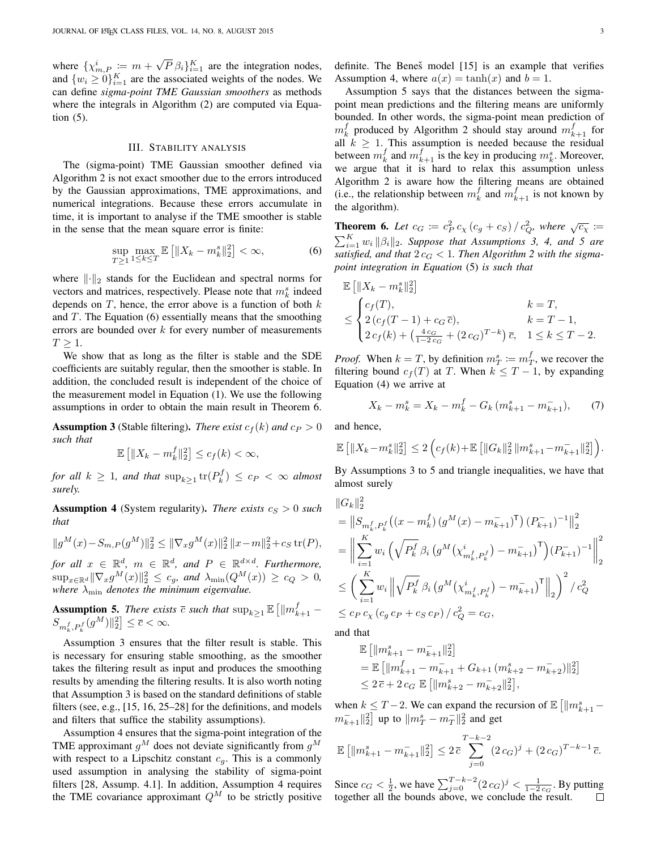where  $\{ \chi_{m,P}^i := m + \sqrt{P} \beta_i \}_{i=1}^K$  are the integration nodes, and  $\{w_i \geq 0\}_{i=1}^K$  are the associated weights of the nodes. We can define *sigma-point TME Gaussian smoothers* as methods where the integrals in Algorithm [\(2\)](#page-1-1) are computed via Equation [\(5\)](#page-1-2).

## III. STABILITY ANALYSIS

<span id="page-2-0"></span>The (sigma-point) TME Gaussian smoother defined via Algorithm [2](#page-1-1) is not exact smoother due to the errors introduced by the Gaussian approximations, TME approximations, and numerical integrations. Because these errors accumulate in time, it is important to analyse if the TME smoother is stable in the sense that the mean square error is finite:

<span id="page-2-1"></span>
$$
\sup_{T\geq 1} \max_{1\leq k\leq T} \mathbb{E}\left[\|X_k - m_k^s\|_2^2\right] < \infty,\tag{6}
$$

where  $\|\cdot\|_2$  stands for the Euclidean and spectral norms for vectors and matrices, respectively. Please note that  $m_k^s$  indeed depends on  $T$ , hence, the error above is a function of both  $k$ and  $T$ . The Equation [\(6\)](#page-2-1) essentially means that the smoothing errors are bounded over  $k$  for every number of measurements  $T \geq 1$ .

We show that as long as the filter is stable and the SDE coefficients are suitably regular, then the smoother is stable. In addition, the concluded result is independent of the choice of the measurement model in Equation [\(1\)](#page-0-1). We use the following assumptions in order to obtain the main result in Theorem [6.](#page-2-2)

<span id="page-2-3"></span>**Assumption 3** (Stable filtering). *There exist*  $c_f(k)$  and  $c_P > 0$ *such that*

$$
\mathbb{E}\left[\|X_k - m_k^f\|_2^2\right] \le c_f(k) < \infty,
$$

*for all*  $k \geq 1$ *, and that*  $\sup_{k \geq 1} \text{tr}(P_k^f) \leq c_P < \infty$  *almost surely.*

<span id="page-2-4"></span>**Assumption 4** (System regularity). *There exists*  $c_S > 0$  *such that*

$$
||g^M(x) - S_{m,P}(g^M)||_2^2 \le ||\nabla_x g^M(x)||_2^2 ||x - m||_2^2 + c_S \operatorname{tr}(P),
$$

*for all*  $x \in \mathbb{R}^d$ ,  $m \in \mathbb{R}^d$ , and  $P \in \mathbb{R}^{d \times d}$ . *Furthermore*,  $\sup_{x\in\mathbb{R}^d} \|\nabla_x g^M(x)\|_2^2 \leq c_g$ , and  $\lambda_{\min}(Q^M(x)) \geq c_Q > 0$ , *where*  $\lambda_{\min}$  *denotes the minimum eigenvalue.* 

<span id="page-2-5"></span>**Assumption 5.** There exists 
$$
\bar{c}
$$
 such that  $\sup_{k\geq 1} \mathbb{E} \left[ ||m_{k+1}^f - S_{m_k^f, P_k^f}(g^M)||_2^2 \right] \leq \bar{c} < \infty$ .

Assumption [3](#page-2-3) ensures that the filter result is stable. This is necessary for ensuring stable smoothing, as the smoother takes the filtering result as input and produces the smoothing results by amending the filtering results. It is also worth noting that Assumption [3](#page-2-3) is based on the standard definitions of stable filters (see, e.g., [\[15,](#page-4-12) [16,](#page-4-22) [25–](#page-4-23)[28\]](#page-4-24) for the definitions, and models and filters that suffice the stability assumptions).

Assumption [4](#page-2-4) ensures that the sigma-point integration of the TME approximant  $g^M$  does not deviate significantly from  $g^M$ with respect to a Lipschitz constant  $c_q$ . This is a commonly used assumption in analysing the stability of sigma-point filters [\[28,](#page-4-24) Assump. 4.1]. In addition, Assumption [4](#page-2-4) requires the TME covariance approximant  $Q^M$  to be strictly positive definite. The Beneš model  $[15]$  is an example that verifies Assumption [4,](#page-2-4) where  $a(x) = \tanh(x)$  and  $b = 1$ .

Assumption [5](#page-2-5) says that the distances between the sigmapoint mean predictions and the filtering means are uniformly bounded. In other words, the sigma-point mean prediction of  $m_k^f$  produced by Algorithm [2](#page-1-1) should stay around  $m_{k+1}^f$  for all  $k \geq 1$ . This assumption is needed because the residual between  $m_k^f$  and  $m_{k+1}^f$  is the key in producing  $m_k^s$ . Moreover, we argue that it is hard to relax this assumption unless Algorithm [2](#page-1-1) is aware how the filtering means are obtained (i.e., the relationship between  $m_k^f$  and  $m_{k+1}^f$  is not known by the algorithm).

<span id="page-2-2"></span>**Theorem 6.** Let  $c_G := c_P^2 c_\chi (c_g + c_S) / c_Q^2$ , where  $\sqrt{c_\chi} \coloneqq$  $\sum_{i=1}^{K} w_i ||\beta_i||_2$ . Suppose that Assumptions [3,](#page-2-3) [4,](#page-2-4) and [5](#page-2-5) are satisfied, and that  $2 c_G < 1$ . Then Algorithm [2](#page-1-1) with the sigma*point integration in Equation* [\(5\)](#page-1-2) *is such that*

$$
\mathbb{E} [||X_k - m_k^s||_2^2] \n\leq \begin{cases} c_f(T), & k = T, \\ 2(c_f(T-1) + c_G \bar{c}), & k = T - 1, \\ 2c_f(k) + \left(\frac{4c_G}{1 - 2c_G} + (2c_G)^{T-k}\right) \bar{c}, & 1 \leq k \leq T - 2. \end{cases}
$$

*Proof.* When  $k = T$ , by definition  $m_T^s := m_T^f$ , we recover the filtering bound  $c_f(T)$  at T. When  $k \leq T - 1$ , by expanding Equation [\(4\)](#page-1-3) we arrive at

$$
X_k - m_k^s = X_k - m_k^f - G_k \left( m_{k+1}^s - m_{k+1}^- \right), \tag{7}
$$

and hence,

$$
\mathbb{E}\left[\|X_k - m_k^s\|_2^2\right] \leq 2\left(c_f(k) + \mathbb{E}\left[\|G_k\|_2^2 \|m_{k+1}^s - m_{k+1}^-\|_2^2\right]\right).
$$

By Assumptions [3](#page-2-3) to [5](#page-2-5) and triangle inequalities, we have that almost surely

 $||G_k||_2^2$ 

$$
= \left\| S_{m_k^f, P_k^f} \left( (x - m_k^f) \left( g^M(x) - m_{k+1}^- \right)^{\mathsf{T}} \right) (P_{k+1}^-)^{-1} \right\|_2^2
$$
  
\n
$$
= \left\| \sum_{i=1}^K w_i \left( \sqrt{P_k^f} \beta_i \left( g^M(\chi_{m_k^f, P_k^f}^i) - m_{k+1}^- \right)^{\mathsf{T}} \right) (P_{k+1}^-)^{-1} \right\|_2^2
$$
  
\n
$$
\leq \left( \sum_{i=1}^K w_i \left\| \sqrt{P_k^f} \beta_i \left( g^M(\chi_{m_k^f, P_k^f}^i) - m_{k+1}^- \right)^{\mathsf{T}} \right\|_2 \right)^2 / c_Q^2
$$
  
\n
$$
\leq c_P c_\chi \left( c_g \, c_P + c_S \, c_P \right) / c_Q^2 = c_G,
$$

and that

$$
\label{eq:21} \begin{split} &\mathbb{E}\left[\|m_{k+1}^s-m_{k+1}^-\|_2^2\right] \\ &=\mathbb{E}\left[\|m_{k+1}^f-m_{k+1}^+ + G_{k+1}\left(m_{k+2}^s-m_{k+2}^-\right)\|_2^2\right] \\ &\leq 2\,\overline{c} + 2\,c_G\,\,\mathbb{E}\left[\|m_{k+2}^s-m_{k+2}^-\|_2^2\right], \end{split}
$$

when  $k \leq T-2$ . We can expand the recursion of  $\mathbb{E} \left[ \left\| m_{k+1}^s - \right\| \right]$  $m_{k+1}^- \|^2_2$  up to  $\|m_T^s - m_T^-\|^2_2$  and get

$$
\mathbb{E}\left[\|m_{k+1}^s - m_{k+1}^-\|_2^2\right] \le 2\bar{c}\sum_{j=0}^{T-k-2} (2\,c_G)^j + (2\,c_G)^{T-k-1}\,\bar{c}.
$$

Since  $c_G < \frac{1}{2}$ , we have  $\sum_{j=0}^{T-k-2} (2 c_G)^j < \frac{1}{1-2 c_G}$ . By putting together all the bounds above, we conclude the result.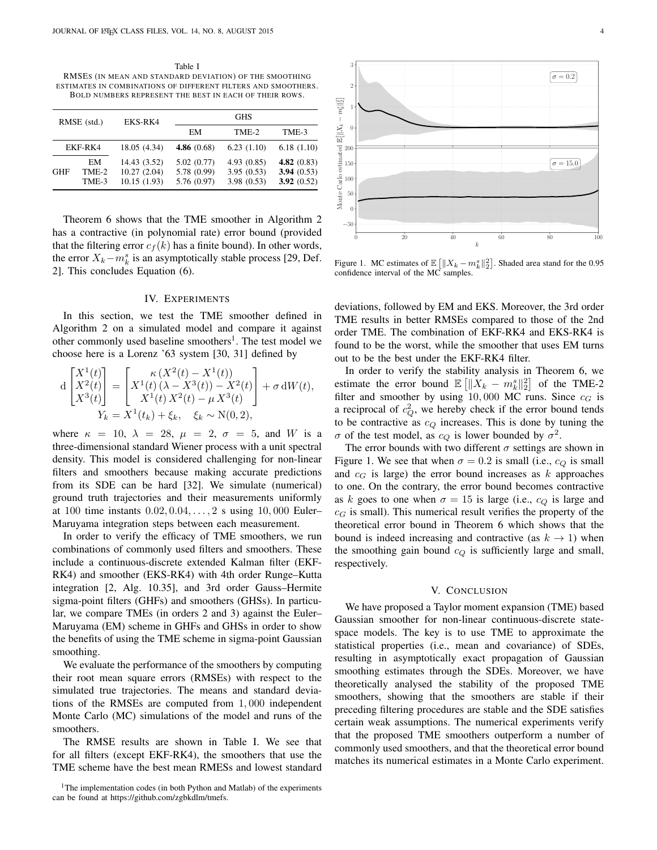<span id="page-3-3"></span>Table I RMSES (IN MEAN AND STANDARD DEVIATION) OF THE SMOOTHING ESTIMATES IN COMBINATIONS OF DIFFERENT FILTERS AND SMOOTHERS. BOLD NUMBERS REPRESENT THE BEST IN EACH OF THEIR ROWS.

| RMSE (std.) |                      | EKS-RK4                                    | <b>GHS</b>                               |                                        |                                           |
|-------------|----------------------|--------------------------------------------|------------------------------------------|----------------------------------------|-------------------------------------------|
|             |                      |                                            | EМ                                       | TME-2                                  | TME-3                                     |
| EKF-RK4     |                      | 18.05 (4.34)                               | 4.86 $(0.68)$                            | 6.23(1.10)                             | 6.18(1.10)                                |
| <b>GHF</b>  | EМ<br>TME-2<br>TME-3 | 14.43 (3.52)<br>10.27(2.04)<br>10.15(1.93) | 5.02(0.77)<br>5.78 (0.99)<br>5.76 (0.97) | 4.93(0.85)<br>3.95(0.53)<br>3.98(0.53) | 4.82 $(0.83)$<br>3.94(0.53)<br>3.92(0.52) |

Theorem [6](#page-2-2) shows that the TME smoother in Algorithm [2](#page-1-1) has a contractive (in polynomial rate) error bound (provided that the filtering error  $c_f(k)$  has a finite bound). In other words, the error  $X_k - m_k^s$  is an asymptotically stable process [\[29,](#page-4-25) Def. 2]. This concludes Equation [\(6\)](#page-2-1).

# IV. EXPERIMENTS

<span id="page-3-0"></span>In this section, we test the TME smoother defined in Algorithm [2](#page-1-1) on a simulated model and compare it against other commonly used baseline smoothers<sup>[1](#page-3-2)</sup>. The test model we choose here is a Lorenz '63 system [\[30,](#page-4-26) [31\]](#page-4-27) defined by

$$
d\begin{bmatrix} X^1(t) \\ X^2(t) \\ X^3(t) \end{bmatrix} = \begin{bmatrix} \kappa (X^2(t) - X^1(t)) \\ X^1(t) (\lambda - X^3(t)) - X^2(t) \\ X^1(t) X^2(t) - \mu X^3(t) \end{bmatrix} + \sigma dW(t),
$$
  
\n
$$
Y_k = X^1(t_k) + \xi_k, \quad \xi_k \sim N(0, 2),
$$

where  $\kappa = 10$ ,  $\lambda = 28$ ,  $\mu = 2$ ,  $\sigma = 5$ , and W is a three-dimensional standard Wiener process with a unit spectral density. This model is considered challenging for non-linear filters and smoothers because making accurate predictions from its SDE can be hard [\[32\]](#page-4-28). We simulate (numerical) ground truth trajectories and their measurements uniformly at 100 time instants 0.02, 0.04, . . . , 2 s using 10, 000 Euler– Maruyama integration steps between each measurement.

In order to verify the efficacy of TME smoothers, we run combinations of commonly used filters and smoothers. These include a continuous-discrete extended Kalman filter (EKF-RK4) and smoother (EKS-RK4) with 4th order Runge–Kutta integration [\[2,](#page-4-1) Alg. 10.35], and 3rd order Gauss–Hermite sigma-point filters (GHFs) and smoothers (GHSs). In particular, we compare TMEs (in orders 2 and 3) against the Euler– Maruyama (EM) scheme in GHFs and GHSs in order to show the benefits of using the TME scheme in sigma-point Gaussian smoothing.

We evaluate the performance of the smoothers by computing their root mean square errors (RMSEs) with respect to the simulated true trajectories. The means and standard deviations of the RMSEs are computed from 1, 000 independent Monte Carlo (MC) simulations of the model and runs of the smoothers.

The RMSE results are shown in Table [I.](#page-3-3) We see that for all filters (except EKF-RK4), the smoothers that use the TME scheme have the best mean RMESs and lowest standard



<span id="page-3-4"></span>Figure 1. MC estimates of  $\mathbb{E}\left[\|X_k - m_k^s\|_2^2\right]$ . Shaded area stand for the 0.95 confidence interval of the MC samples.

deviations, followed by EM and EKS. Moreover, the 3rd order TME results in better RMSEs compared to those of the 2nd order TME. The combination of EKF-RK4 and EKS-RK4 is found to be the worst, while the smoother that uses EM turns out to be the best under the EKF-RK4 filter.

In order to verify the stability analysis in Theorem [6,](#page-2-2) we estimate the error bound  $\mathbb{E} \left[ \left\| X_k - m_k^s \right\|_2^2 \right]$  of the TME-2 filter and smoother by using 10,000 MC runs. Since  $c_G$  is a reciprocal of  $c_Q^2$ , we hereby check if the error bound tends to be contractive as  $c_Q$  increases. This is done by tuning the  $\sigma$  of the test model, as  $c_Q$  is lower bounded by  $\sigma^2$ .

The error bounds with two different  $\sigma$  settings are shown in Figure [1.](#page-3-4) We see that when  $\sigma = 0.2$  is small (i.e.,  $c_Q$  is small and  $c_G$  is large) the error bound increases as k approaches to one. On the contrary, the error bound becomes contractive as k goes to one when  $\sigma = 15$  is large (i.e.,  $c_Q$  is large and  $c_G$  is small). This numerical result verifies the property of the theoretical error bound in Theorem [6](#page-2-2) which shows that the bound is indeed increasing and contractive (as  $k \to 1$ ) when the smoothing gain bound  $c_Q$  is sufficiently large and small, respectively.

### V. CONCLUSION

<span id="page-3-1"></span>We have proposed a Taylor moment expansion (TME) based Gaussian smoother for non-linear continuous-discrete statespace models. The key is to use TME to approximate the statistical properties (i.e., mean and covariance) of SDEs, resulting in asymptotically exact propagation of Gaussian smoothing estimates through the SDEs. Moreover, we have theoretically analysed the stability of the proposed TME smoothers, showing that the smoothers are stable if their preceding filtering procedures are stable and the SDE satisfies certain weak assumptions. The numerical experiments verify that the proposed TME smoothers outperform a number of commonly used smoothers, and that the theoretical error bound matches its numerical estimates in a Monte Carlo experiment.

<span id="page-3-2"></span><sup>&</sup>lt;sup>1</sup>The implementation codes (in both Python and Matlab) of the experiments can be found at [https://github.com/zgbkdlm/tmefs.](https://github.com/zgbkdlm/tmefs)